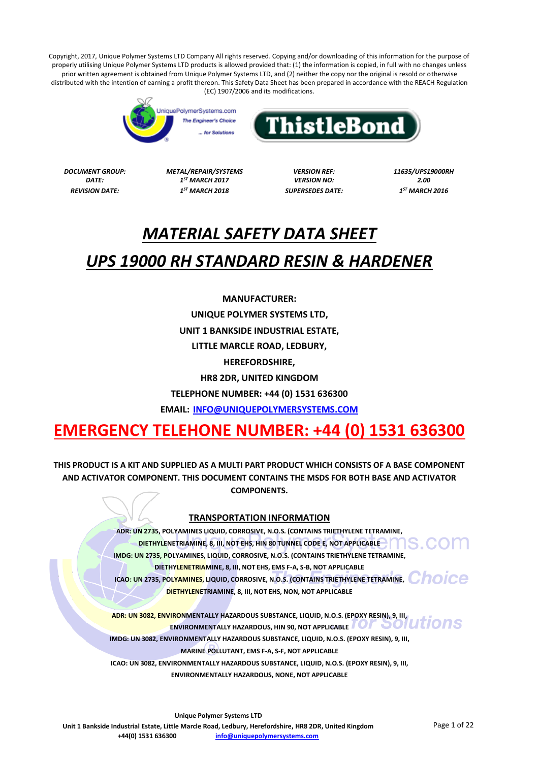



*DATE: 1*

*DOCUMENT GROUP: METAL/REPAIR/SYSTEMS VERSION REF: 11635/UPS19000RH ST MARCH 2017 VERSION NO: 2.00 REVISION DATE: 1*

*ST MARCH 2018 SUPERSEDES DATE: 1*

*ST MARCH 2016*

# *MATERIAL SAFETY DATA SHEET*

# *UPS 19000 RH STANDARD RESIN & HARDENER*

**MANUFACTURER:**

**UNIQUE POLYMER SYSTEMS LTD,**

**UNIT 1 BANKSIDE INDUSTRIAL ESTATE,**

**LITTLE MARCLE ROAD, LEDBURY,**

**HEREFORDSHIRE,**

**HR8 2DR, UNITED KINGDOM**

**TELEPHONE NUMBER: +44 (0) 1531 636300**

**EMAIL: [INFO@UNIQUEPOLYMERSYSTEMS.COM](mailto:INFO@UNIQUEPOLYMERSYSTEMS.COM)**

# **EMERGENCY TELEHONE NUMBER: +44 (0) 1531 636300**

**THIS PRODUCT IS A KIT AND SUPPLIED AS A MULTI PART PRODUCT WHICH CONSISTS OF A BASE COMPONENT AND ACTIVATOR COMPONENT. THIS DOCUMENT CONTAINS THE MSDS FOR BOTH BASE AND ACTIVATOR COMPONENTS.**

# **TRANSPORTATION INFORMATION**

**ADR: UN 2735, POLYAMINES LIQUID, CORROSIVE, N.O.S. (CONTAINS TRIETHYLENE TETRAMINE, DIETHYLENETRIAMINE, 8, III, NOT EHS, HIN 80 TUNNEL CODE E, NOT APPLICABLE IMDG: UN 2735, POLYAMINES, LIQUID, CORROSIVE, N.O.S. (CONTAINS TRIETHYLENE TETRAMINE, DIETHYLENETRIAMINE, 8, III, NOT EHS, EMS F-A, S-B, NOT APPLICABLE ICAO: UN 2735, POLYAMINES, LIQUID, CORROSIVE, N.O.S. (CONTAINS TRIETHYLENE TETRAMINE, COLORED DIETHYLENETRIAMINE, 8, III, NOT EHS, NON, NOT APPLICABLE**

**ADR: UN 3082, ENVIRONMENTALLY HAZARDOUS SUBSTANCE, LIQUID, N.O.S. (EPOXY RESIN), 9, III, ENVIRONMENTALLY HAZARDOUS, HIN 90, NOT APPLICABLE**

**IMDG: UN 3082, ENVIRONMENTALLY HAZARDOUS SUBSTANCE, LIQUID, N.O.S. (EPOXY RESIN), 9, III,**

**MARINE POLLUTANT, EMS F-A, S-F, NOT APPLICABLE**

**ICAO: UN 3082, ENVIRONMENTALLY HAZARDOUS SUBSTANCE, LIQUID, N.O.S. (EPOXY RESIN), 9, III,**

**ENVIRONMENTALLY HAZARDOUS, NONE, NOT APPLICABLE**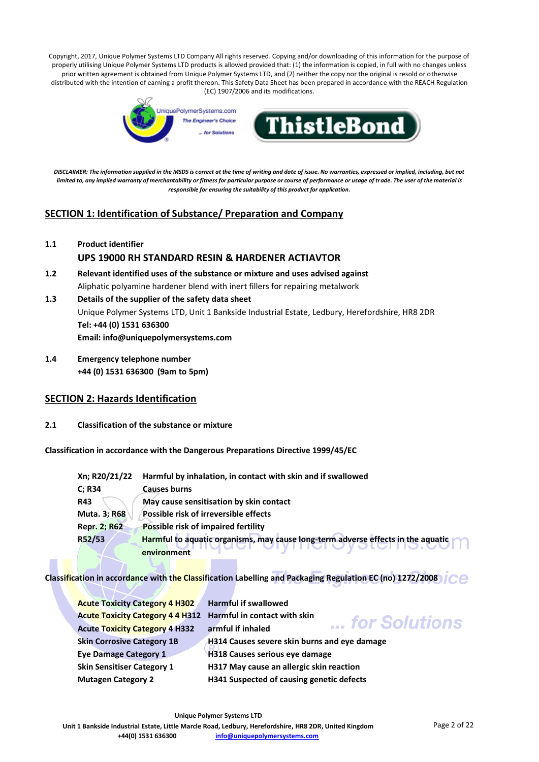

*DISCLAIMER: The information supplied in the MSDS is correct at the time of writing and date of issue. No warranties, expressed or implied, including, but not limited to, any implied warranty of merchantability or fitness for particular purpose or course of performance or usage of trade. The user of the material is responsible for ensuring the suitability of this product for application.*

# **SECTION 1: Identification of Substance/ Preparation and Company**

**1.1 Product identifier**

# **UPS 19000 RH STANDARD RESIN & HARDENER ACTIAVTOR**

- **1.2 Relevant identified uses of the substance or mixture and uses advised against** Aliphatic polyamine hardener blend with inert fillers for repairing metalwork
- **1.3 Details of the supplier of the safety data sheet** Unique Polymer Systems LTD, Unit 1 Bankside Industrial Estate, Ledbury, Herefordshire, HR8 2DR **Tel: +44 (0) 1531 636300 Email: info@uniquepolymersystems.com**
- **1.4 Emergency telephone number +44 (0) 1531 636300 (9am to 5pm)**

# **SECTION 2: Hazards Identification**

**2.1 Classification of the substance or mixture**

**Classification in accordance with the Dangerous Preparations Directive 1999/45/EC**

| Harmful to aquatic organisms, may cause long-term adverse effects in the aquatic |
|----------------------------------------------------------------------------------|
|                                                                                  |

**Classification in accordance with the Classification Labelling and Packaging Regulation EC (no) 1272/2008**

| <b>Acute Toxicity Category 4 H302</b>                         | <b>Harmful if swallowed</b>                         |
|---------------------------------------------------------------|-----------------------------------------------------|
| Acute Toxicity Category 4 4 H312 Harmful in contact with skin | for Solutions                                       |
| <b>Acute Toxicity Category 4 H332</b>                         | armful if inhaled                                   |
| <b>Skin Corrosive Category 1B</b>                             | <b>H314 Causes severe skin burns and eye damage</b> |
| <b>Eye Damage Category 1</b>                                  | <b>H318 Causes serious eve damage</b>               |
| <b>Skin Sensitiser Category 1</b>                             | H317 May cause an allergic skin reaction            |
| <b>Mutagen Category 2</b>                                     | H341 Suspected of causing genetic defects           |
|                                                               |                                                     |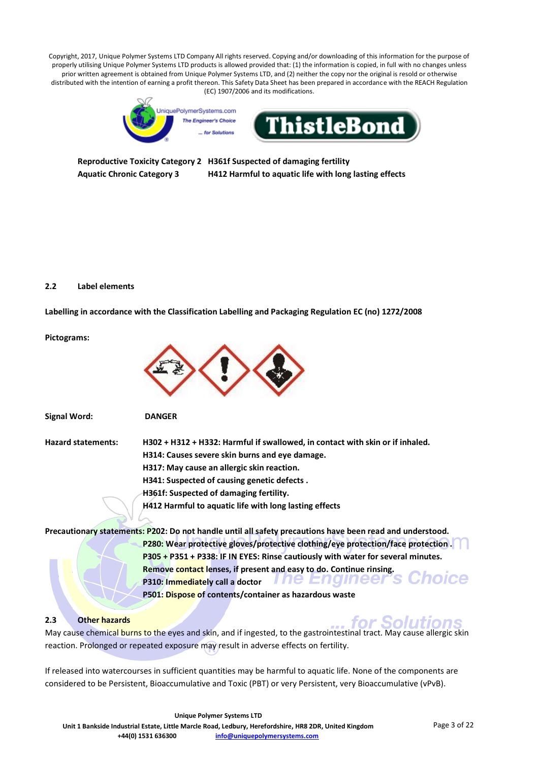

**Reproductive Toxicity Category 2 H361f Suspected of damaging fertility Aquatic Chronic Category 3 H412 Harmful to aquatic life with long lasting effects**

#### **2.2 Label elements**

**Signal Word: DANGER**

**Labelling in accordance with the Classification Labelling and Packaging Regulation EC (no) 1272/2008**

**Pictograms:**



| <b>Hazard statements:</b> | H302 + H312 + H332: Harmful if swallowed, in contact with skin or if inhaled.                             |
|---------------------------|-----------------------------------------------------------------------------------------------------------|
|                           | H314: Causes severe skin burns and eye damage.                                                            |
|                           | H317: May cause an allergic skin reaction.                                                                |
|                           | H341: Suspected of causing genetic defects.                                                               |
|                           | H361f: Suspected of damaging fertility.                                                                   |
|                           | H412 Harmful to aquatic life with long lasting effects                                                    |
|                           | Precautionary statements: P202: Do not handle until all safety precautions have been read and understood. |

**P280: Wear protective gloves/protective clothing/eye protection/face protection . P305 + P351 + P338: IF IN EYES: Rinse cautiously with water for several minutes. Remove contact lenses, if present and easy to do. Continue rinsing.**  *10iCe* **The Engineer's P310: Immediately call a doctor P501: Dispose of contents/container as hazardous waste**

# **2.3 Other hazards**

for Solutions May cause chemical burns to the eyes and skin, and if ingested, to the gastrointestinal tract. May cause allergic skin reaction. Prolonged or repeated exposure may result in adverse effects on fertility.

If released into watercourses in sufficient quantities may be harmful to aquatic life. None of the components are considered to be Persistent, Bioaccumulative and Toxic (PBT) or very Persistent, very Bioaccumulative (vPvB).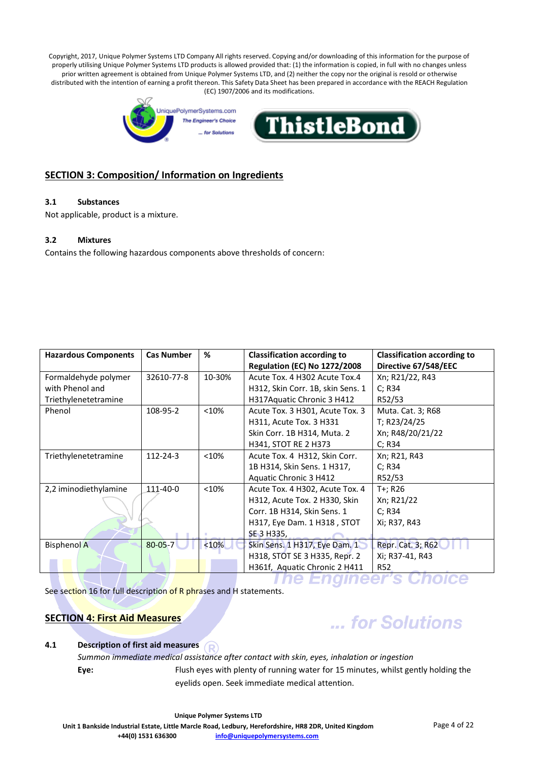

# **SECTION 3: Composition/ Information on Ingredients**

# **3.1 Substances**

Not applicable, product is a mixture.

#### **3.2 Mixtures**

Contains the following hazardous components above thresholds of concern:

| <b>Hazardous Components</b> | <b>Cas Number</b> | %      | <b>Classification according to</b>  | <b>Classification according to</b> |
|-----------------------------|-------------------|--------|-------------------------------------|------------------------------------|
|                             |                   |        | <b>Regulation (EC) No 1272/2008</b> | Directive 67/548/EEC               |
| Formaldehyde polymer        | 32610-77-8        | 10-30% | Acute Tox. 4 H302 Acute Tox.4       | Xn; R21/22, R43                    |
| with Phenol and             |                   |        | H312, Skin Corr. 1B, skin Sens. 1   | C; R34                             |
| Triethylenetetramine        |                   |        | H317Aquatic Chronic 3 H412          | R52/53                             |
| Phenol                      | 108-95-2          | < 10%  | Acute Tox. 3 H301, Acute Tox. 3     | Muta. Cat. 3; R68                  |
|                             |                   |        | H311, Acute Tox. 3 H331             | T; R23/24/25                       |
|                             |                   |        | Skin Corr. 1B H314, Muta. 2         | Xn; R48/20/21/22                   |
|                             |                   |        | H341, STOT RE 2 H373                | C: R34                             |
| Triethylenetetramine        | 112-24-3          | < 10%  | Acute Tox. 4 H312, Skin Corr.       | Xn; R21, R43                       |
|                             |                   |        | 1B H314, Skin Sens. 1 H317,         | C: R34                             |
|                             |                   |        | Aquatic Chronic 3 H412              | R52/53                             |
| 2,2 iminodiethylamine       | 111-40-0          | < 10%  | Acute Tox. 4 H302, Acute Tox. 4     | T+; R26                            |
|                             |                   |        | H312, Acute Tox. 2 H330, Skin       | Xn; R21/22                         |
|                             |                   |        | Corr. 1B H314, Skin Sens. 1         | C: R34                             |
|                             |                   |        | H317, Eye Dam. 1 H318, STOT         | Xi; R37, R43                       |
|                             |                   |        | SE 3 H335,                          |                                    |
| <b>Bisphenol A</b>          | $80 - 05 - 7$     | < 10%  | Skin Sens. 1 H317, Eye Dam. 1       | <b>Repr. Cat. 3; R62</b>           |
|                             |                   |        | H318, STOT SE 3 H335, Repr. 2       | Xi; R37-41, R43                    |
|                             |                   |        | H361f, Aquatic Chronic 2 H411       | R52                                |
|                             |                   |        |                                     |                                    |

See section 16 for full description of R phrases and H statements.

# **SECTION 4: First Aid Measures**

# ... for Solutions

# **4.1 Description of first aid measures**

*Summon immediate medical assistance after contact with skin, eyes, inhalation or ingestion* **Eye:** Flush eyes with plenty of running water for 15 minutes, whilst gently holding the eyelids open. Seek immediate medical attention.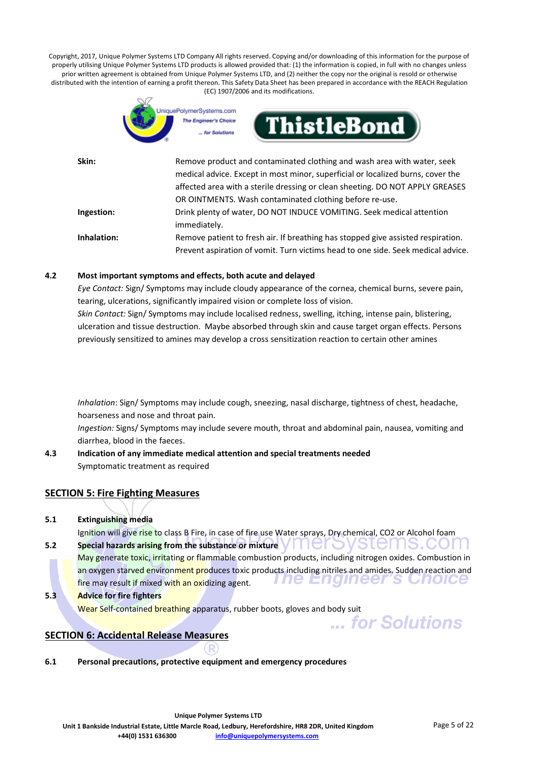

| Skin:       | Remove product and contaminated clothing and wash area with water, seek          |
|-------------|----------------------------------------------------------------------------------|
|             | medical advice. Except in most minor, superficial or localized burns, cover the  |
|             | affected area with a sterile dressing or clean sheeting. DO NOT APPLY GREASES    |
|             | OR OINTMENTS. Wash contaminated clothing before re-use.                          |
| Ingestion:  | Drink plenty of water, DO NOT INDUCE VOMITING. Seek medical attention            |
|             | immediately.                                                                     |
| Inhalation: | Remove patient to fresh air. If breathing has stopped give assisted respiration. |
|             | Prevent aspiration of vomit. Turn victims head to one side. Seek medical advice. |

#### **4.2 Most important symptoms and effects, both acute and delayed**

*Eye Contact:* Sign/ Symptoms may include cloudy appearance of the cornea, chemical burns, severe pain, tearing, ulcerations, significantly impaired vision or complete loss of vision.

*Skin Contact:* Sign/ Symptoms may include localised redness, swelling, itching, intense pain, blistering, ulceration and tissue destruction. Maybe absorbed through skin and cause target organ effects. Persons previously sensitized to amines may develop a cross sensitization reaction to certain other amines

*Inhalation*: Sign/ Symptoms may include cough, sneezing, nasal discharge, tightness of chest, headache, hoarseness and nose and throat pain.

*Ingestion:* Signs/ Symptoms may include severe mouth, throat and abdominal pain, nausea, vomiting and diarrhea, blood in the faeces.

**4.3 Indication of any immediate medical attention and special treatments needed** Symptomatic treatment as required

# **SECTION 5: Fire Fighting Measures**

**5.1 Extinguishing media**

Ignition will give rise to class B Fire, in case of fire use Water sprays, Dry chemical, CO2 or Alcohol foam

**5.2** Special hazards arising from the substance or mixture  $\mathbf{V} \cup \mathbf{C}$   $\cup$   $\mathbf{V}$   $\leq$   $\mathbf{C}$   $\cap$   $\mathbf{S}$  .  $\mathbf{C}$   $\cap$   $\mathbf{C}$ 

May generate toxic, irritating or flammable combustion products, including nitrogen oxides. Combustion in an oxygen starved environment produces toxic products including nitriles and amides. Sudden reaction and **The Engineer's Gnoice** fire may result if mixed with an oxidizing agent.

**5.3 Advice for fire fighters**

Wear Self-contained breathing apparatus, rubber boots, gloves and body suit ... for Solutions

# **SECTION 6: Accidental Release Measures**

**6.1 Personal precautions, protective equipment and emergency procedures**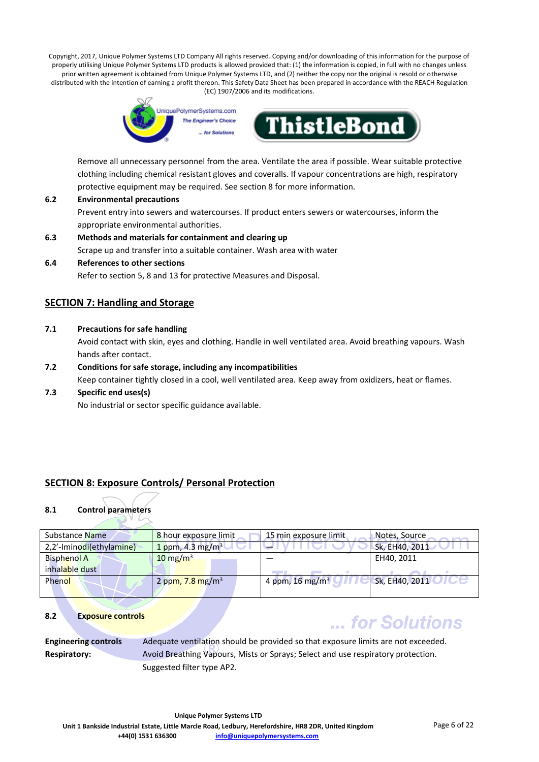

Remove all unnecessary personnel from the area. Ventilate the area if possible. Wear suitable protective clothing including chemical resistant gloves and coveralls. If vapour concentrations are high, respiratory protective equipment may be required. See section 8 for more information.

- **6.2 Environmental precautions** Prevent entry into sewers and watercourses. If product enters sewers or watercourses, inform the appropriate environmental authorities.
- **6.3 Methods and materials for containment and clearing up** Scrape up and transfer into a suitable container. Wash area with water
- **6.4 References to other sections**

Refer to section 5, 8 and 13 for protective Measures and Disposal.

# **SECTION 7: Handling and Storage**

**7.1 Precautions for safe handling**

Avoid contact with skin, eyes and clothing. Handle in well ventilated area. Avoid breathing vapours. Wash hands after contact.

**7.2 Conditions for safe storage, including any incompatibilities**

Keep container tightly closed in a cool, well ventilated area. Keep away from oxidizers, heat or flames.

**7.3 Specific end uses(s)**

No industrial or sector specific guidance available.

# **SECTION 8: Exposure Controls/ Personal Protection**

# **8.1 Control parameters**

| Substance Name           | 8 hour exposure limit          | 15 min exposure limit         | Notes, Source  |
|--------------------------|--------------------------------|-------------------------------|----------------|
| 2,2'-Iminodi(ethylamine) | 1 ppm, 4.3 mg/m <sup>3</sup>   |                               | Sk, EH40, 2011 |
| <b>Bisphenol A</b>       | $10 \text{ mg/m}^3$            |                               | EH40, 2011     |
| inhalable dust           |                                |                               |                |
| Phenol                   | 2 ppm, $7.8$ mg/m <sup>3</sup> | 4 ppm, $16$ mg/m <sup>3</sup> | Sk, EH40, 2011 |
|                          |                                |                               |                |

#### **8.2 Exposure controls**

# ... for Solutions

**Engineering controls** Adequate ventilation should be provided so that exposure limits are not exceeded. **Respiratory:** Avoid Breathing Vapours, Mists or Sprays; Select and use respiratory protection. Suggested filter type AP2.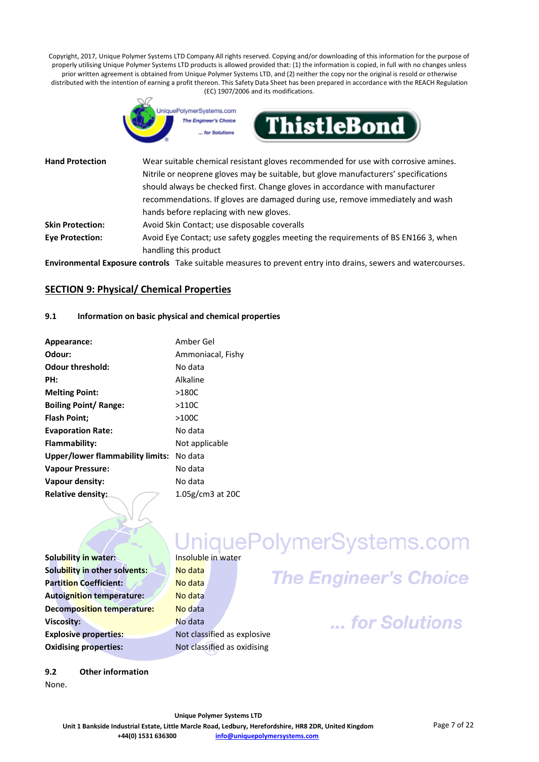

| <b>Hand Protection</b>  | Wear suitable chemical resistant gloves recommended for use with corrosive amines.<br>Nitrile or neoprene gloves may be suitable, but glove manufacturers' specifications<br>should always be checked first. Change gloves in accordance with manufacturer |
|-------------------------|------------------------------------------------------------------------------------------------------------------------------------------------------------------------------------------------------------------------------------------------------------|
|                         | recommendations. If gloves are damaged during use, remove immediately and wash<br>hands before replacing with new gloves.                                                                                                                                  |
| <b>Skin Protection:</b> | Avoid Skin Contact; use disposable coveralls                                                                                                                                                                                                               |
| <b>Eye Protection:</b>  | Avoid Eye Contact; use safety goggles meeting the requirements of BS EN166 3, when<br>handling this product                                                                                                                                                |
|                         |                                                                                                                                                                                                                                                            |

**Environmental Exposure controls** Take suitable measures to prevent entry into drains, sewers and watercourses.

#### **SECTION 9: Physical/ Chemical Properties**

#### **9.1 Information on basic physical and chemical properties**

| Appearance:                              | Amber Gel           |
|------------------------------------------|---------------------|
| Odour:                                   | Ammoniacal, Fishy   |
| <b>Odour threshold:</b>                  | No data             |
| PH:                                      | Alkaline            |
| <b>Melting Point:</b>                    | $>180C$             |
| <b>Boiling Point/ Range:</b>             | >110C               |
| <b>Flash Point;</b>                      | $>100C$             |
| <b>Evaporation Rate:</b>                 | No data             |
| Flammability:                            | Not applicable      |
| Upper/lower flammability limits: No data |                     |
| <b>Vapour Pressure:</b>                  | No data             |
| Vapour density:                          | No data             |
| Relative density:                        | $1.05$ g/cm3 at 20C |

# **Solubility in water:** Insoluble in water<br>
Insoluble in water

**Solubility in other solvents: No data Partition Coefficient:** 2008 / No data **Autoignition temperature:** No data **Decomposition temperature:** No data **Viscosity:** No data **Explosive properties:** Not classified as explosive **Oxidising properties:** Not classified as oxidising

# **The Engineer's Choice**

... for Solutions

**9.2 Other information** None.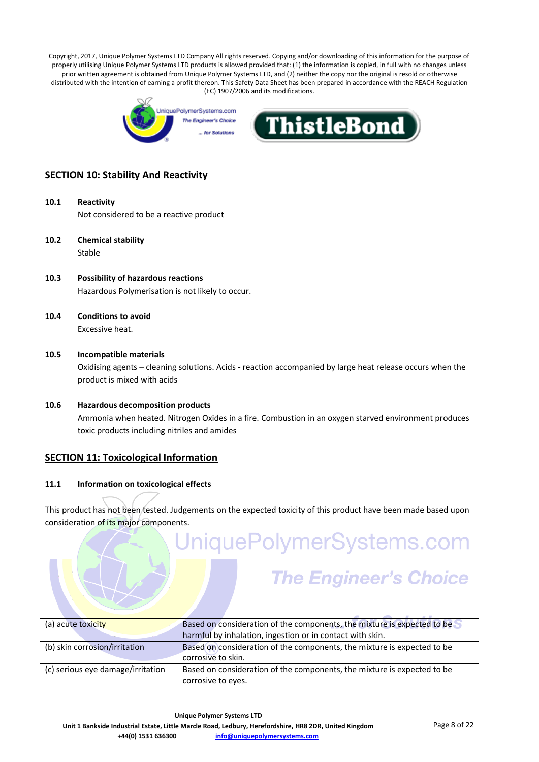



# **SECTION 10: Stability And Reactivity**

- **10.1 Reactivity** Not considered to be a reactive product
- **10.2 Chemical stability** Stable
- **10.3 Possibility of hazardous reactions** Hazardous Polymerisation is not likely to occur.
- **10.4 Conditions to avoid** Excessive heat.
- **10.5 Incompatible materials** Oxidising agents – cleaning solutions. Acids - reaction accompanied by large heat release occurs when the product is mixed with acids
- **10.6 Hazardous decomposition products** Ammonia when heated. Nitrogen Oxides in a fire. Combustion in an oxygen starved environment produces toxic products including nitriles and amides

# **SECTION 11: Toxicological Information**

#### **11.1 Information on toxicological effects**

This product has not been tested. Judgements on the expected toxicity of this product have been made based upon consideration of its major components.

# JniquePolymerSystems.com

# **The Engineer's Choice**

| (a) acute toxicity                | Based on consideration of the components, the mixture is expected to be |  |
|-----------------------------------|-------------------------------------------------------------------------|--|
|                                   | harmful by inhalation, ingestion or in contact with skin.               |  |
| (b) skin corrosion/irritation     | Based on consideration of the components, the mixture is expected to be |  |
|                                   | corrosive to skin.                                                      |  |
| (c) serious eye damage/irritation | Based on consideration of the components, the mixture is expected to be |  |
|                                   | corrosive to eyes.                                                      |  |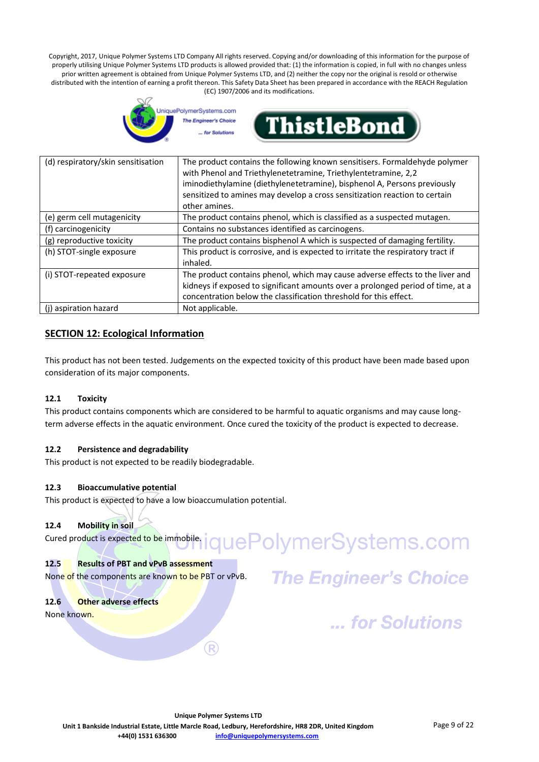



| (d) respiratory/skin sensitisation | The product contains the following known sensitisers. Formaldehyde polymer<br>with Phenol and Triethylenetetramine, Triethylentetramine, 2,2<br>iminodiethylamine (diethylenetetramine), bisphenol A, Persons previously<br>sensitized to amines may develop a cross sensitization reaction to certain<br>other amines. |
|------------------------------------|-------------------------------------------------------------------------------------------------------------------------------------------------------------------------------------------------------------------------------------------------------------------------------------------------------------------------|
| (e) germ cell mutagenicity         | The product contains phenol, which is classified as a suspected mutagen.                                                                                                                                                                                                                                                |
| (f) carcinogenicity                | Contains no substances identified as carcinogens.                                                                                                                                                                                                                                                                       |
| (g) reproductive toxicity          | The product contains bisphenol A which is suspected of damaging fertility.                                                                                                                                                                                                                                              |
| (h) STOT-single exposure           | This product is corrosive, and is expected to irritate the respiratory tract if<br>inhaled.                                                                                                                                                                                                                             |
| (i) STOT-repeated exposure         | The product contains phenol, which may cause adverse effects to the liver and<br>kidneys if exposed to significant amounts over a prolonged period of time, at a<br>concentration below the classification threshold for this effect.                                                                                   |
| (i) aspiration hazard              | Not applicable.                                                                                                                                                                                                                                                                                                         |

# **SECTION 12: Ecological Information**

This product has not been tested. Judgements on the expected toxicity of this product have been made based upon consideration of its major components.

# **12.1 Toxicity**

This product contains components which are considered to be harmful to aquatic organisms and may cause longterm adverse effects in the aquatic environment. Once cured the toxicity of the product is expected to decrease.

# **12.2 Persistence and degradability**

This product is not expected to be readily biodegradable.

# **12.3 Bioaccumulative potential**

This product is expected to have a low bioaccumulation potential.

#### **12.4 Mobility in soil**

quePolymerSystems.com Cured product is expected to be immobile.

#### **12.5 Results of PBT and vPvB assessment**

None of the components are known to be PBT or vPvB.

**12.6 Other adverse effects**

None known.

**The Engineer's Choice** 

... for Solutions

(R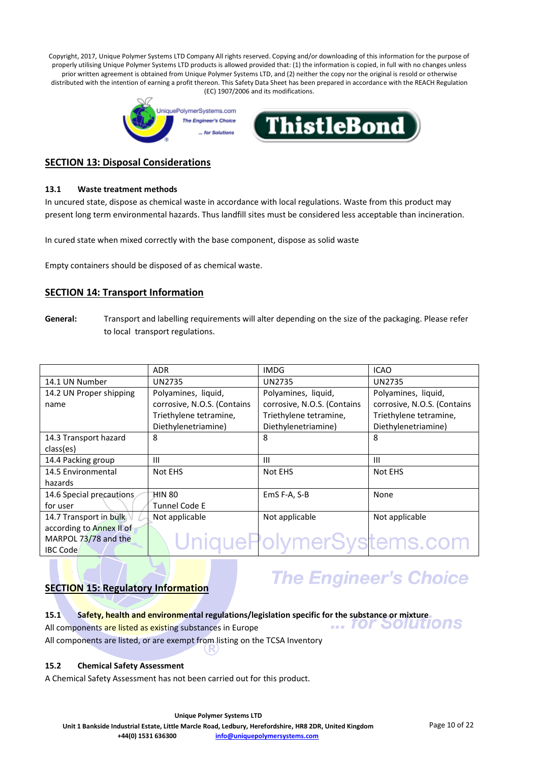

# **SECTION 13: Disposal Considerations**

#### **13.1 Waste treatment methods**

In uncured state, dispose as chemical waste in accordance with local regulations. Waste from this product may present long term environmental hazards. Thus landfill sites must be considered less acceptable than incineration.

In cured state when mixed correctly with the base component, dispose as solid waste

Empty containers should be disposed of as chemical waste.

# **SECTION 14: Transport Information**

**General:** Transport and labelling requirements will alter depending on the size of the packaging. Please refer to local transport regulations.

|                          | <b>ADR</b>                  | <b>IMDG</b>                 | <b>ICAO</b>                 |
|--------------------------|-----------------------------|-----------------------------|-----------------------------|
| 14.1 UN Number           | <b>UN2735</b>               | <b>UN2735</b>               | <b>UN2735</b>               |
| 14.2 UN Proper shipping  | Polyamines, liquid,         | Polyamines, liquid,         | Polyamines, liquid,         |
| name                     | corrosive, N.O.S. (Contains | corrosive, N.O.S. (Contains | corrosive, N.O.S. (Contains |
|                          | Triethylene tetramine,      | Triethylene tetramine,      | Triethylene tetramine,      |
|                          | Diethylenetriamine)         | Diethylenetriamine)         | Diethylenetriamine)         |
| 14.3 Transport hazard    | 8                           | 8                           | 8                           |
| class(es)                |                             |                             |                             |
| 14.4 Packing group       | Ш                           | Ш                           | Ш                           |
| 14.5 Environmental       | Not EHS                     | Not EHS                     | Not EHS                     |
| hazards                  |                             |                             |                             |
| 14.6 Special precautions | HIN 80                      | EmS F-A, S-B                | None                        |
| for user                 | Tunnel Code E               |                             |                             |
| 14.7 Transport in bulk   | Not applicable              | Not applicable              | Not applicable              |
| according to Annex II of |                             |                             |                             |
| MARPOL 73/78 and the     |                             | UniquePolymerSystems.com    |                             |
| <b>IBC Code</b>          |                             |                             |                             |

# **SECTION 15: Regulatory Information**

# **The Engineer's Choice**

**15.1** Safety, health and environmental regulations/legislation specific for the substance or mixture<br>All components are listed as existing substances in Furone

All components are listed as existing substances in Europe

All components are listed, or are exempt from listing on the TCSA Inventory

# **15.2 Chemical Safety Assessment**

A Chemical Safety Assessment has not been carried out for this product.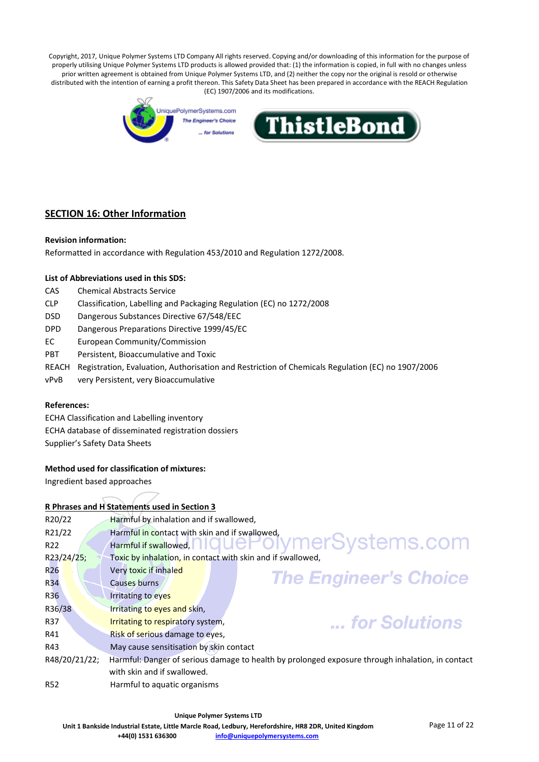

# **SECTION 16: Other Information**

#### **Revision information:**

Reformatted in accordance with Regulation 453/2010 and Regulation 1272/2008.

#### **List of Abbreviations used in this SDS:**

- CAS Chemical Abstracts Service
- CLP Classification, Labelling and Packaging Regulation (EC) no 1272/2008
- DSD Dangerous Substances Directive 67/548/EEC
- DPD Dangerous Preparations Directive 1999/45/EC
- EC European Community/Commission
- PBT Persistent, Bioaccumulative and Toxic
- REACH Registration, Evaluation, Authorisation and Restriction of Chemicals Regulation (EC) no 1907/2006
- vPvB very Persistent, very Bioaccumulative

#### **References:**

ECHA Classification and Labelling inventory ECHA database of disseminated registration dossiers Supplier's Safety Data Sheets

#### **Method used for classification of mixtures:**

Ingredient based approaches

#### **R Phrases and H Statements used in Section 3**

| R20/22          | Harmful by inhalation and if swallowed,                                                          |
|-----------------|--------------------------------------------------------------------------------------------------|
| R21/22          | Harmful in contact with skin and if swallowed,                                                   |
| R <sub>22</sub> | Harmful if swallowed, <b>highlight Citymer</b> Systems.com                                       |
| R23/24/25;      | Toxic by inhalation, in contact with skin and if swallowed,                                      |
| R <sub>26</sub> | Very toxic if inhaled                                                                            |
| <b>R34</b>      | <b>The Engineer's Choice</b><br>Causes burns                                                     |
| R <sub>36</sub> | <b>Irritating to eyes</b>                                                                        |
| R36/38          | Irritating to eyes and skin,                                                                     |
| R37             | for Solutions<br>Irritating to respiratory system,                                               |
| R41             | Risk of serious damage to eyes,                                                                  |
| R43             | May cause sensitisation by skin contact                                                          |
| R48/20/21/22;   | Harmful: Danger of serious damage to health by prolonged exposure through inhalation, in contact |
|                 | with skin and if swallowed.                                                                      |
| <b>R52</b>      | Harmful to aquatic organisms                                                                     |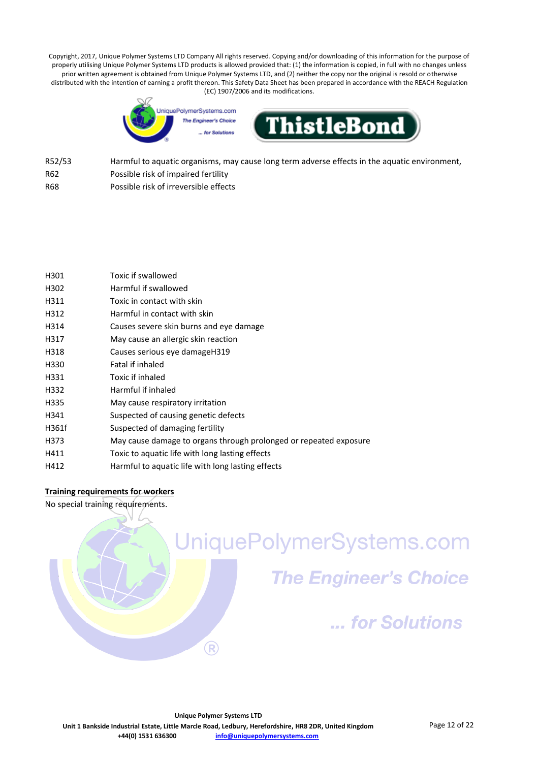

- R52/53 Harmful to aquatic organisms, may cause long term adverse effects in the aquatic environment, R62 Possible risk of impaired fertility
- 
- R68 Possible risk of irreversible effects

| H301  | Toxic if swallowed                                                |
|-------|-------------------------------------------------------------------|
| H302  | Harmful if swallowed                                              |
| H311  | Toxic in contact with skin                                        |
| H312  | Harmful in contact with skin                                      |
| H314  | Causes severe skin burns and eye damage                           |
| H317  | May cause an allergic skin reaction                               |
| H318  | Causes serious eye damageH319                                     |
| H330  | Fatal if inhaled                                                  |
| H331  | Toxic if inhaled                                                  |
| H332  | Harmful if inhaled                                                |
| H335  | May cause respiratory irritation                                  |
| H341  | Suspected of causing genetic defects                              |
| H361f | Suspected of damaging fertility                                   |
| H373  | May cause damage to organs through prolonged or repeated exposure |
| H411  | Toxic to aquatic life with long lasting effects                   |
| H412  | Harmful to aquatic life with long lasting effects                 |

# **Training requirements for workers**

No special training requirements.

UniquePolymerSystems.com **The Engineer's Choice** ... for Solutions  $\times$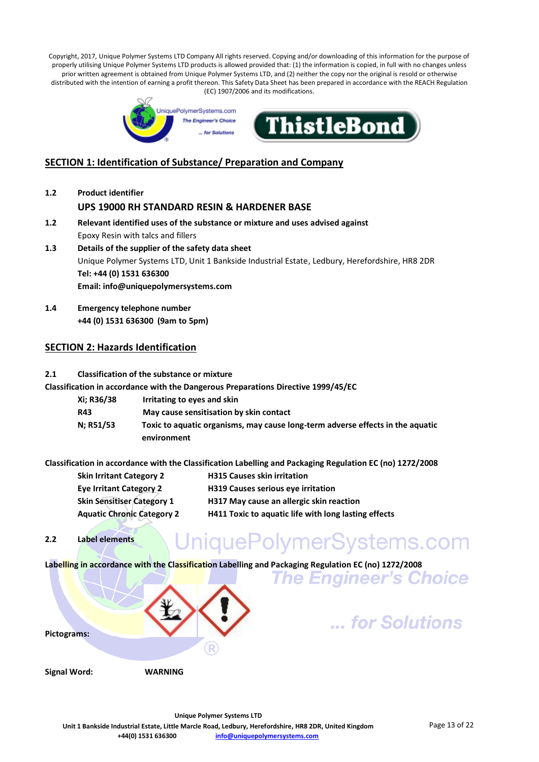

# **SECTION 1: Identification of Substance/ Preparation and Company**

- **1.2 Product identifier UPS 19000 RH STANDARD RESIN & HARDENER BASE**
- **1.2 Relevant identified uses of the substance or mixture and uses advised against** Epoxy Resin with talcs and fillers **1.3 Details of the supplier of the safety data sheet**
- Unique Polymer Systems LTD, Unit 1 Bankside Industrial Estate, Ledbury, Herefordshire, HR8 2DR **Tel: +44 (0) 1531 636300 Email: info@uniquepolymersystems.com**
- **1.4 Emergency telephone number +44 (0) 1531 636300 (9am to 5pm)**

# **SECTION 2: Hazards Identification**

#### **2.1 Classification of the substance or mixture**

**Classification in accordance with the Dangerous Preparations Directive 1999/45/EC**

**Xi; R36/38 Irritating to eyes and skin R43 May cause sensitisation by skin contact N; R51/53 Toxic to aquatic organisms, may cause long-term adverse effects in the aquatic environment**

**Classification in accordance with the Classification Labelling and Packaging Regulation EC (no) 1272/2008**

- **Skin Irritant Category 2 H315 Causes skin irritation Eye Irritant Category 2 H319 Causes serious eye irritation Skin Sensitiser Category 1 H317 May cause an allergic skin reaction Aquatic Chronic Category 2 H411 Toxic to aquatic life with long lasting effects**
- **2.2 Label elements**

# UniquePolymerSystems.com

**Labelling in accordance with the Classification Labelling and Packaging Regulation EC (no) 1272/2008**



**The Engineer's Choice**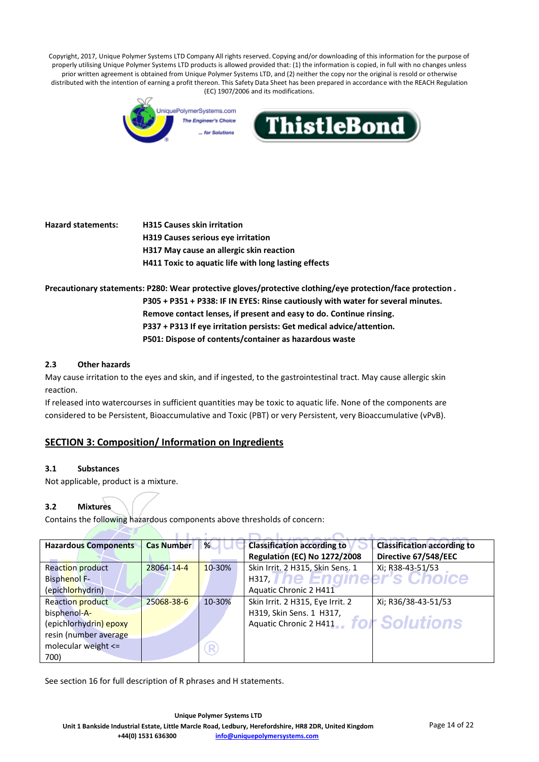

**Hazard statements: H315 Causes skin irritation H319 Causes serious eye irritation H317 May cause an allergic skin reaction H411 Toxic to aquatic life with long lasting effects**

**Precautionary statements: P280: Wear protective gloves/protective clothing/eye protection/face protection . P305 + P351 + P338: IF IN EYES: Rinse cautiously with water for several minutes. Remove contact lenses, if present and easy to do. Continue rinsing. P337 + P313 If eye irritation persists: Get medical advice/attention. P501: Dispose of contents/container as hazardous waste**

# **2.3 Other hazards**

May cause irritation to the eyes and skin, and if ingested, to the gastrointestinal tract. May cause allergic skin reaction.

If released into watercourses in sufficient quantities may be toxic to aquatic life. None of the components are considered to be Persistent, Bioaccumulative and Toxic (PBT) or very Persistent, very Bioaccumulative (vPvB).

# **SECTION 3: Composition/ Information on Ingredients**

#### **3.1 Substances**

Not applicable, product is a mixture.

#### **3.2 Mixtures**

Contains the following hazardous components above thresholds of concern:

| <b>Hazardous Components</b> | <b>Cas Number</b> | %           | <b>Classification according to</b>  | <b>Classification according to</b> |
|-----------------------------|-------------------|-------------|-------------------------------------|------------------------------------|
|                             |                   |             | <b>Regulation (EC) No 1272/2008</b> | Directive 67/548/EEC               |
| Reaction product            | 28064-14-4        | 10-30%      | Skin Irrit. 2 H315, Skin Sens. 1    | Xi; R38-43-51/53                   |
| <b>Bisphenol F-</b>         |                   |             | нз17, I ne Enameer's Choice         |                                    |
| (epichlorhydrin)            |                   |             | Aquatic Chronic 2 H411              |                                    |
| Reaction product            | 25068-38-6        | 10-30%      | Skin Irrit. 2 H315, Eye Irrit. 2    | Xi; R36/38-43-51/53                |
| bisphenol-A-                |                   |             | H319, Skin Sens. 1 H317,            |                                    |
| (epichlorhydrin) epoxy      |                   |             | Aquatic Chronic 2 H411              | for Solutions                      |
| resin (number average       |                   |             |                                     |                                    |
| molecular weight <=         |                   | $\mathsf R$ |                                     |                                    |
| 700)                        |                   |             |                                     |                                    |

See section 16 for full description of R phrases and H statements.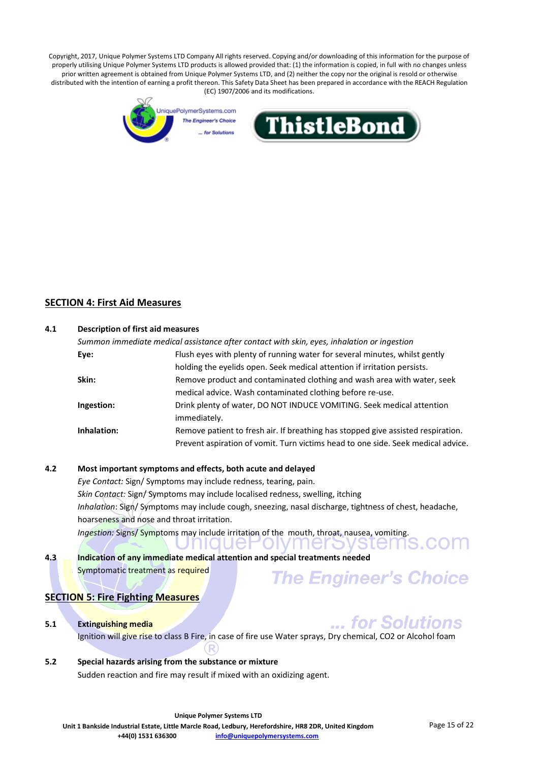



# **SECTION 4: First Aid Measures**

| 4.1 | <b>Description of first aid measures</b> |                                                                                            |  |  |
|-----|------------------------------------------|--------------------------------------------------------------------------------------------|--|--|
|     |                                          | Summon immediate medical assistance after contact with skin, eyes, inhalation or ingestion |  |  |
|     | Eye:                                     | Flush eyes with plenty of running water for several minutes, whilst gently                 |  |  |
|     |                                          | holding the eyelids open. Seek medical attention if irritation persists.                   |  |  |
|     | Skin:                                    | Remove product and contaminated clothing and wash area with water, seek                    |  |  |
|     |                                          | medical advice. Wash contaminated clothing before re-use.                                  |  |  |
|     | Ingestion:                               | Drink plenty of water, DO NOT INDUCE VOMITING. Seek medical attention                      |  |  |
|     |                                          | immediately.                                                                               |  |  |
|     | Inhalation:                              | Remove patient to fresh air. If breathing has stopped give assisted respiration.           |  |  |
|     |                                          | Prevent aspiration of vomit. Turn victims head to one side. Seek medical advice.           |  |  |

#### **4.2 Most important symptoms and effects, both acute and delayed**

*Eye Contact:* Sign/ Symptoms may include redness, tearing, pain. *Skin Contact:* Sign/ Symptoms may include localised redness, swelling, itching *Inhalation*: Sign/ Symptoms may include cough, sneezing, nasal discharge, tightness of chest, headache, hoarseness and nose and throat irritation. *Ingestion:* Signs/ Symptoms may include irritation of the mouth, throat, nausea, vomiting. *INIQUEFOIVINER* י ר sterns.d

#### **4.3 Indication of any immediate medical attention and special treatments needed** Symptomatic treatment as required **The Engineer's Choice**

# **SECTION 5: Fire Fighting Measures**

#### **5.1 Extinguishing media**

... for Solutions Ignition will give rise to class B Fire, in case of fire use Water sprays, Dry chemical, CO2 or Alcohol foam

# **5.2 Special hazards arising from the substance or mixture**

Sudden reaction and fire may result if mixed with an oxidizing agent.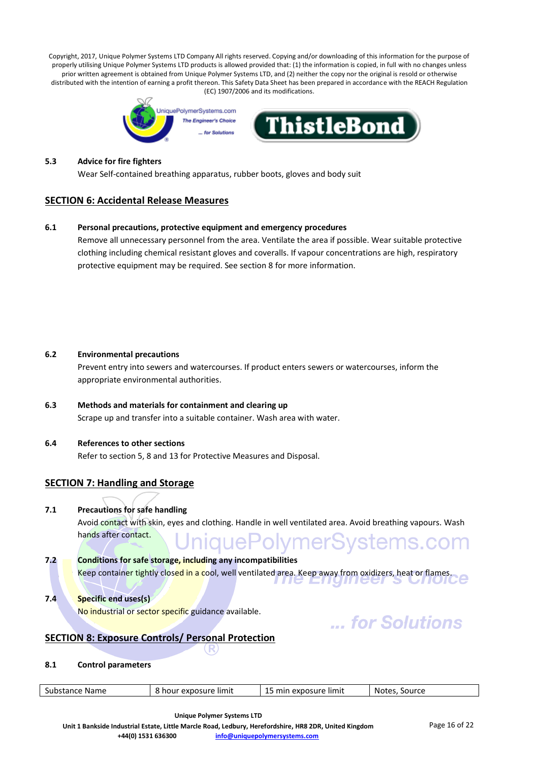

#### **5.3 Advice for fire fighters**

Wear Self-contained breathing apparatus, rubber boots, gloves and body suit

# **SECTION 6: Accidental Release Measures**

#### **6.1 Personal precautions, protective equipment and emergency procedures**

Remove all unnecessary personnel from the area. Ventilate the area if possible. Wear suitable protective clothing including chemical resistant gloves and coveralls. If vapour concentrations are high, respiratory protective equipment may be required. See section 8 for more information.

#### **6.2 Environmental precautions**

Prevent entry into sewers and watercourses. If product enters sewers or watercourses, inform the appropriate environmental authorities.

**6.3 Methods and materials for containment and clearing up** Scrape up and transfer into a suitable container. Wash area with water.

#### **6.4 References to other sections**

Refer to section 5, 8 and 13 for Protective Measures and Disposal.

# **SECTION 7: Handling and Storage**

#### **7.1 Precautions for safe handling**

Avoid contact with skin, eyes and clothing. Handle in well ventilated area. Avoid breathing vapours. Wash niquePolymerSystems.com hands after contact.

- **7.2 Conditions for safe storage, including any incompatibilities** Keep container tightly closed in a cool, well ventilated area. Keep away from oxidizers, heat or flames.
- **7.4 Specific end uses(s)** No industrial or sector specific guidance available.

# ... for Solutions

# **SECTION 8: Exposure Controls/ Personal Protection**

#### **8.1 Control parameters**

| Substance   | exposure limit | exposure limit | Source |
|-------------|----------------|----------------|--------|
| <b>Name</b> | hou            |                | Notes  |
|             |                |                |        |

**Unique Polymer Systems LTD**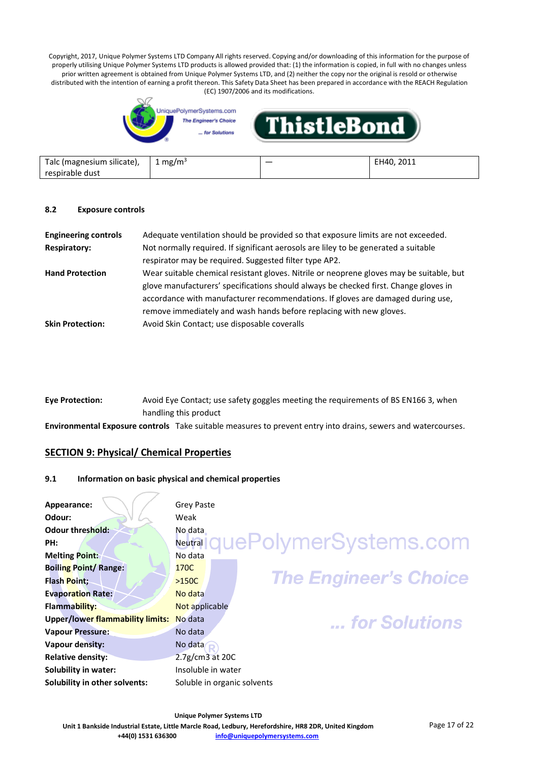

| Talc (magnesium silicate), | mg/m <sup>3</sup> | 2011<br>⊺H4∩ . |
|----------------------------|-------------------|----------------|
| respirable dust            |                   |                |

#### **8.2 Exposure controls**

| <b>Engineering controls</b> | Adequate ventilation should be provided so that exposure limits are not exceeded.        |
|-----------------------------|------------------------------------------------------------------------------------------|
| <b>Respiratory:</b>         | Not normally required. If significant aerosols are liley to be generated a suitable      |
|                             | respirator may be required. Suggested filter type AP2.                                   |
| <b>Hand Protection</b>      | Wear suitable chemical resistant gloves. Nitrile or neoprene gloves may be suitable, but |
|                             | glove manufacturers' specifications should always be checked first. Change gloves in     |
|                             | accordance with manufacturer recommendations. If gloves are damaged during use,          |
|                             | remove immediately and wash hands before replacing with new gloves.                      |
| <b>Skin Protection:</b>     | Avoid Skin Contact; use disposable coveralls                                             |

| Eye Protection: | Avoid Eye Contact; use safety goggles meeting the requirements of BS EN166 3, when |  |
|-----------------|------------------------------------------------------------------------------------|--|
|                 | handling this product                                                              |  |
|                 |                                                                                    |  |

**Environmental Exposure controls** Take suitable measures to prevent entry into drains, sewers and watercourses.

# **SECTION 9: Physical/ Chemical Properties**

#### **9.1 Information on basic physical and chemical properties**

| Appearance:                          | <b>Grey Paste</b>                       |
|--------------------------------------|-----------------------------------------|
| Odour:                               | Weak                                    |
| Odour threshold:                     | No data                                 |
| PH:                                  | quePolymerSystems.com<br><b>Neutral</b> |
| <b>Melting Point:</b>                | No data                                 |
| <b>Boiling Point/ Range:</b>         | 170C                                    |
| Flash Point;                         | <b>The Engineer's Choice</b><br>$>150C$ |
| <b>Evaporation Rate:</b>             | No data                                 |
| Flammability:                        | Not applicable                          |
| Upper/lower flammability limits:     | No data<br>for Solutions                |
| <b>Vapour Pressure:</b>              | No data                                 |
| Vapour density:                      | No data                                 |
| <b>Relative density:</b>             | $2.7g/cm3$ at 20C                       |
| Solubility in water:                 | Insoluble in water                      |
| <b>Solubility in other solvents:</b> | Soluble in organic solvents             |
|                                      |                                         |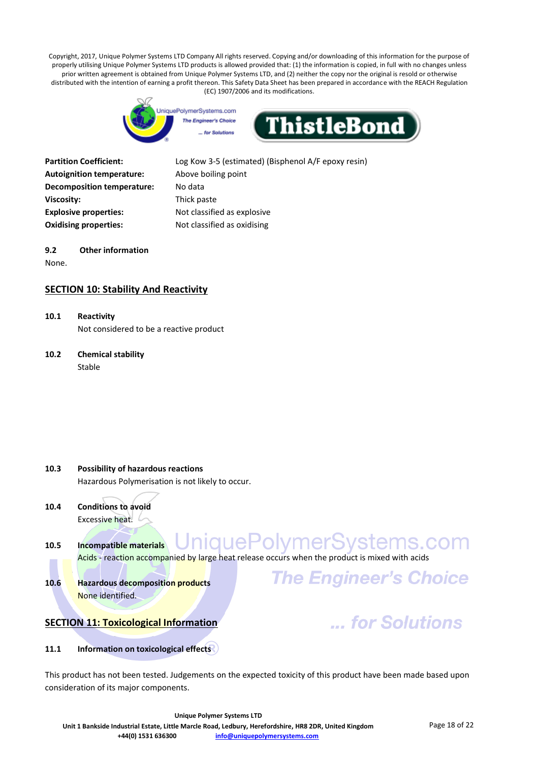



| <b>Partition Coefficient:</b>    |
|----------------------------------|
| <b>Autoignition temperature:</b> |
| Decomposition temperature:       |
| Viscosity:                       |
| <b>Explosive properties:</b>     |
| <b>Oxidising properties:</b>     |
|                                  |

Log Kow 3-5 (estimated) (Bisphenol A/F epoxy resin) Above boiling point **No data Viscosity:** Thick paste **Explosive properties:** Not classified as explosive **Oxidising properties:** Not classified as oxidising

# **9.2 Other information**

None.

# **SECTION 10: Stability And Reactivity**

**10.1 Reactivity** Not considered to be a reactive product

# **10.2 Chemical stability** Stable

- **10.3 Possibility of hazardous reactions** Hazardous Polymerisation is not likely to occur.
- **10.4 Conditions to avoid** Excessive heat.
- UniquePolymerSystems.com **10.5 Incompatible materials** Acids - reaction accompanied by large heat release occurs when the product is mixed with acids
- **10.6 Hazardous decomposition products** None identified.



... for Solutions

# **SECTION 11: Toxicological Information**

# **11.1 Information on toxicological effects**

This product has not been tested. Judgements on the expected toxicity of this product have been made based upon consideration of its major components.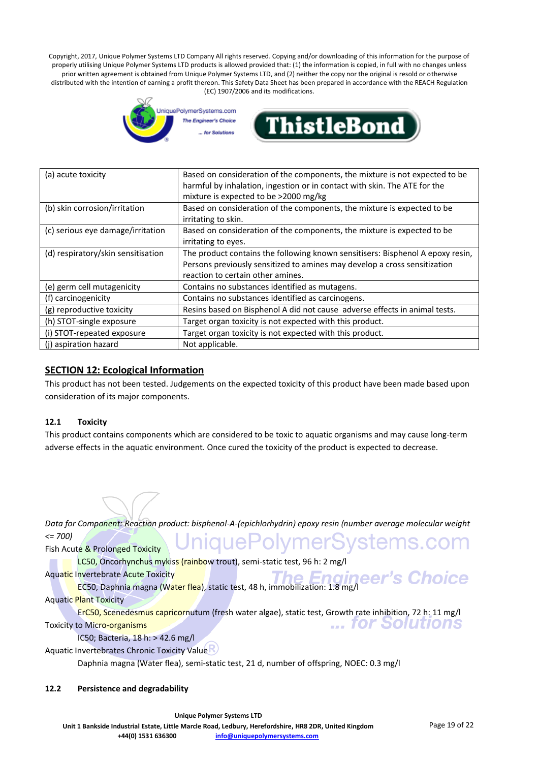

| (a) acute toxicity                 | Based on consideration of the components, the mixture is not expected to be    |  |
|------------------------------------|--------------------------------------------------------------------------------|--|
|                                    | harmful by inhalation, ingestion or in contact with skin. The ATE for the      |  |
|                                    | mixture is expected to be >2000 mg/kg                                          |  |
| (b) skin corrosion/irritation      | Based on consideration of the components, the mixture is expected to be        |  |
|                                    | irritating to skin.                                                            |  |
| (c) serious eye damage/irritation  | Based on consideration of the components, the mixture is expected to be        |  |
|                                    | irritating to eyes.                                                            |  |
| (d) respiratory/skin sensitisation | The product contains the following known sensitisers: Bisphenol A epoxy resin, |  |
|                                    | Persons previously sensitized to amines may develop a cross sensitization      |  |
|                                    | reaction to certain other amines.                                              |  |
| (e) germ cell mutagenicity         | Contains no substances identified as mutagens.                                 |  |
| (f) carcinogenicity                | Contains no substances identified as carcinogens.                              |  |
| (g) reproductive toxicity          | Resins based on Bisphenol A did not cause adverse effects in animal tests.     |  |
| (h) STOT-single exposure           | Target organ toxicity is not expected with this product.                       |  |
| (i) STOT-repeated exposure         | Target organ toxicity is not expected with this product.                       |  |
| (j) aspiration hazard              | Not applicable.                                                                |  |

# **SECTION 12: Ecological Information**

This product has not been tested. Judgements on the expected toxicity of this product have been made based upon consideration of its major components.

# **12.1 Toxicity**

This product contains components which are considered to be toxic to aquatic organisms and may cause long-term adverse effects in the aquatic environment. Once cured the toxicity of the product is expected to decrease.

*Data for Component: Reaction product: bisphenol-A-(epichlorhydrin) epoxy resin (number average molecular weight <= 700)* niquePolymerSystems.com

Fish Acute & Prolonged Toxicity

LC50, Oncorhynchus mykiss (rainbow trout), semi-static test, 96 h: 2 mg/l

Aquatic Invertebrate Acute Toxicity

nvertebrate Acute Toxicity<br>EC50, Daphnia magna (Water flea), static test, 48 h, immobilization: 1.8 mg/l

Aquatic Plant Toxicity

ErC50, Scenedesmus capricornutum (fresh water algae), static test, Growth rate inhibition, 72 h: 11 mg/l ... for Solutions Toxicity to Micro-organisms

IC50; Bacteria, 18 h: > 42.6 mg/l

Aquatic Invertebrates Chronic Toxicity Value

Daphnia magna (Water flea), semi-static test, 21 d, number of offspring, NOEC: 0.3 mg/l

#### **12.2 Persistence and degradability**

's Choice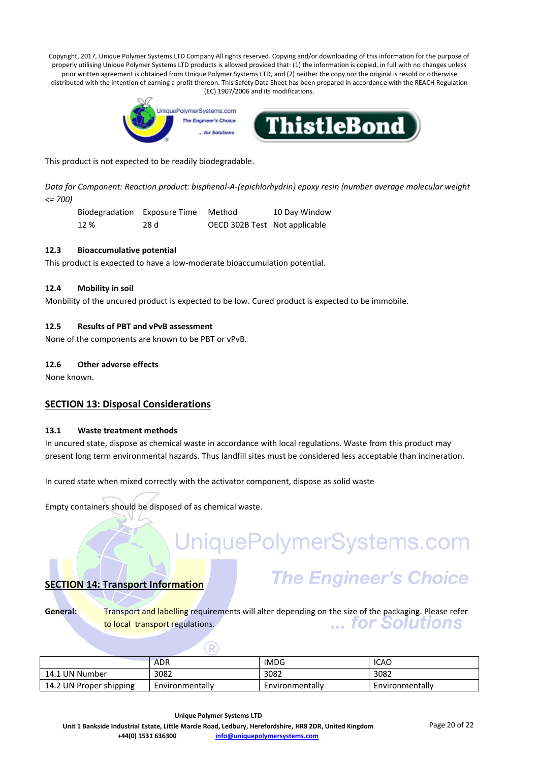

This product is not expected to be readily biodegradable.

*Data for Component: Reaction product: bisphenol-A-(epichlorhydrin) epoxy resin (number average molecular weight <= 700)*

Biodegradation Exposure Time Method 10 Day Window 12 % 28 d OECD 302B Test Not applicable

#### **12.3 Bioaccumulative potential**

This product is expected to have a low-moderate bioaccumulation potential.

#### **12.4 Mobility in soil**

Monbility of the uncured product is expected to be low. Cured product is expected to be immobile.

#### **12.5 Results of PBT and vPvB assessment**

None of the components are known to be PBT or vPvB.

#### **12.6 Other adverse effects**

None known.

# **SECTION 13: Disposal Considerations**

#### **13.1 Waste treatment methods**

In uncured state, dispose as chemical waste in accordance with local regulations. Waste from this product may present long term environmental hazards. Thus landfill sites must be considered less acceptable than incineration.

In cured state when mixed correctly with the activator component, dispose as solid waste

Empty containers should be disposed of as chemical waste.

# UniquePolymerSystems.com

# **SECTION 14: Transport Information**

# **The Engineer's Choice**

General: **Transport and labelling requirements will alter depending on the size of the packaging. Please refer** ... for Solutions to local transport regulations.

|                         | <b>ADR</b>      | <b>IMDG</b>     | ICAO            |
|-------------------------|-----------------|-----------------|-----------------|
| 14.1 UN Number          | 3082            | 3082            | 3082            |
| 14.2 UN Proper shipping | Environmentally | Environmentally | Environmentally |

 $\left( \mathbb{R}\right)$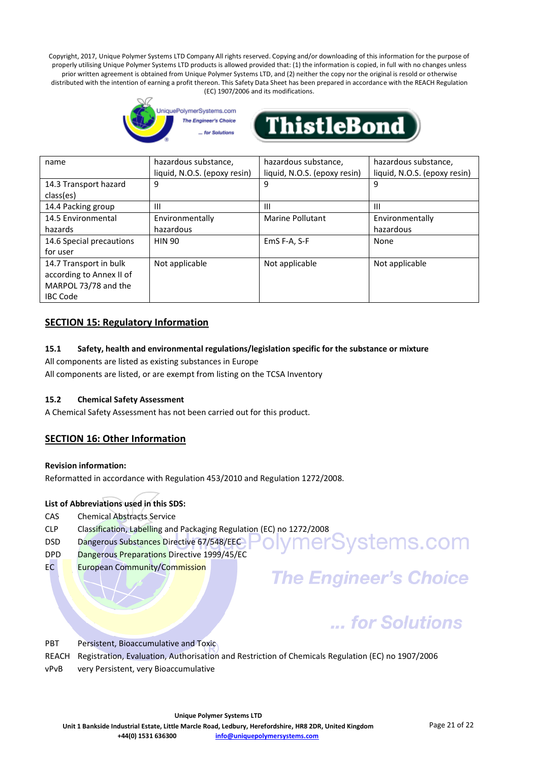



| name                                                                                          | hazardous substance,<br>liquid, N.O.S. (epoxy resin) | hazardous substance,<br>liquid, N.O.S. (epoxy resin) | hazardous substance,<br>liquid, N.O.S. (epoxy resin) |
|-----------------------------------------------------------------------------------------------|------------------------------------------------------|------------------------------------------------------|------------------------------------------------------|
| 14.3 Transport hazard<br>class(es)                                                            | 9                                                    | 9                                                    | 9                                                    |
| 14.4 Packing group                                                                            | Ш                                                    | Ш                                                    | Ш                                                    |
| 14.5 Environmental                                                                            | Environmentally                                      | Marine Pollutant                                     | Environmentally                                      |
| hazards                                                                                       | hazardous                                            |                                                      | hazardous                                            |
| 14.6 Special precautions<br>for user                                                          | <b>HIN 90</b>                                        | EmS F-A, S-F                                         | None                                                 |
| 14.7 Transport in bulk<br>according to Annex II of<br>MARPOL 73/78 and the<br><b>IBC Code</b> | Not applicable                                       | Not applicable                                       | Not applicable                                       |

# **SECTION 15: Regulatory Information**

# **15.1 Safety, health and environmental regulations/legislation specific for the substance or mixture**

All components are listed as existing substances in Europe

All components are listed, or are exempt from listing on the TCSA Inventory

# **15.2 Chemical Safety Assessment**

A Chemical Safety Assessment has not been carried out for this product.

# **SECTION 16: Other Information**

**Revision information:**

Reformatted in accordance with Regulation 453/2010 and Regulation 1272/2008.

# **List of Abbreviations used in this SDS:**

- CAS Chemical Abstracts Service
- CLP Classification, Labelling and Packaging Regulation (EC) no 1272/2008
- DSD Dangerous Substances Directive 67/548/EECPOIVMerSystemS.com
- DPD Dangerous Preparations Directive 1999/45/EC
- EC European Community/Commission

# **The Engineer's Choice**

# ... for Solutions

PBT Persistent, Bioaccumulative and Toxic

REACH Registration, Evaluation, Authorisation and Restriction of Chemicals Regulation (EC) no 1907/2006 vPvB very Persistent, very Bioaccumulative